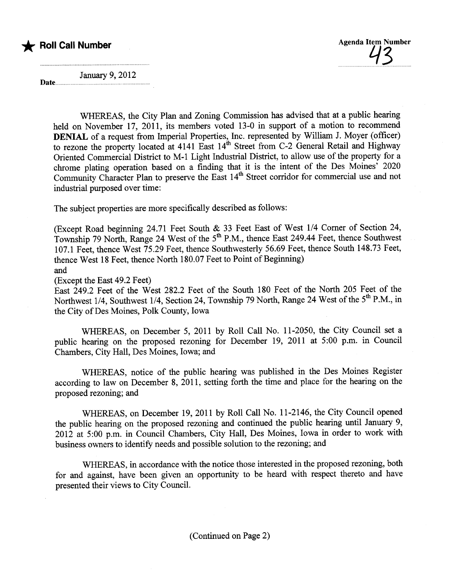

January 9, 2012

Date...

WHEREAS, the City Plan and Zoning Commission has advised that at a public hearing held on November 17, 2011, its members voted 13-0 in support of a motion to recommend DENIAL of a request from Imperial Properties, Inc. represented by Wiliam J. Moyer (officer) to rezone the property located at 4141 East  $14^{th}$  Street from C-2 General Retail and Highway Oriented Commercial District to M-1 Light Industrial District, to allow use of the property for a chrome plating operation based on a finding that it is the intent of the Des Moines' 2020 Community Character Plan to preserve the East  $14<sup>th</sup>$  Street corridor for commercial use and not industrial purposed over time:

The subject properties are more specifically described as follows:

(Except Road beginning 24.71 Feet South & 33 Feet East of West 1/4 Corner of Section 24, Township 79 North, Range 24 West of the 5<sup>th</sup> P.M., thence East 249.44 Feet, thence Southwest 107.1 Feet, thence West 75.29 Feet, thence Southwesterly 56.69 Feet, thence South 148.73 Feet, thence West 18 Feet, thence North 180.07 Feet to Point of Beginning) and

(Except the East 49.2 Feet)

East 249.2 Feet of the West 282.2 Feet of the South 180 Feet of the North 205 Feet of the Northwest 1/4, Southwest 1/4, Section 24, Township 79 North, Range 24 West of the 5<sup>th</sup> P.M., in the City of Des Moines, Polk County, Iowa

WHEREAS, on December 5, 2011 by Roll Call No. 11-2050, the City Council set a public hearng on the proposed rezoning for December 19, 2011 at 5:00 p.m. in Council Chambers, City Hall, Des Moines, Iowa; and

WHEREAS, notice of the public hearng was published in the Des Moines Register according to law on December 8, 2011, setting forth the time and place for the hearing on the proposed rezoning; and

WHEREAS, on December 19,2011 by Roll Call No. 11-2146, the City Council opened the public hearing on the proposed rezoning and continued the public hearing until January 9, 2012 at 5:00 p.m. in Council Chambers, City Hall, Des Moines, Iowa in order to work with business owners to identify needs and possible solution to the rezoning; and

WHEREAS, in accordance with the notice those interested in the proposed rezoning, both for and against, have been given an opportunity to be heard with respect thereto and have presented their views to City CounciL.